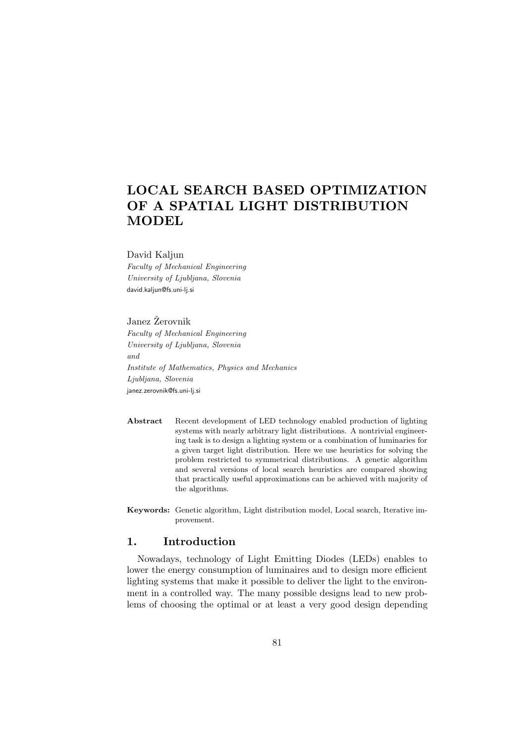# LOCAL SEARCH BASED OPTIMIZATION OF A SPATIAL LIGHT DISTRIBUTION MODEL

#### David Kaljun

Faculty of Mechanical Engineering University of Ljubljana, Slovenia david.kaljun@fs.uni-lj.si

### Janez Žerovnik

Faculty of Mechanical Engineering University of Ljubljana, Slovenia and Institute of Mathematics, Physics and Mechanics Ljubljana, Slovenia janez.zerovnik@fs.uni-lj.si

- Abstract Recent development of LED technology enabled production of lighting systems with nearly arbitrary light distributions. A nontrivial engineering task is to design a lighting system or a combination of luminaries for a given target light distribution. Here we use heuristics for solving the problem restricted to symmetrical distributions. A genetic algorithm and several versions of local search heuristics are compared showing that practically useful approximations can be achieved with majority of the algorithms.
- Keywords: Genetic algorithm, Light distribution model, Local search, Iterative improvement.

# 1. Introduction

Nowadays, technology of Light Emitting Diodes (LEDs) enables to lower the energy consumption of luminaires and to design more efficient lighting systems that make it possible to deliver the light to the environment in a controlled way. The many possible designs lead to new problems of choosing the optimal or at least a very good design depending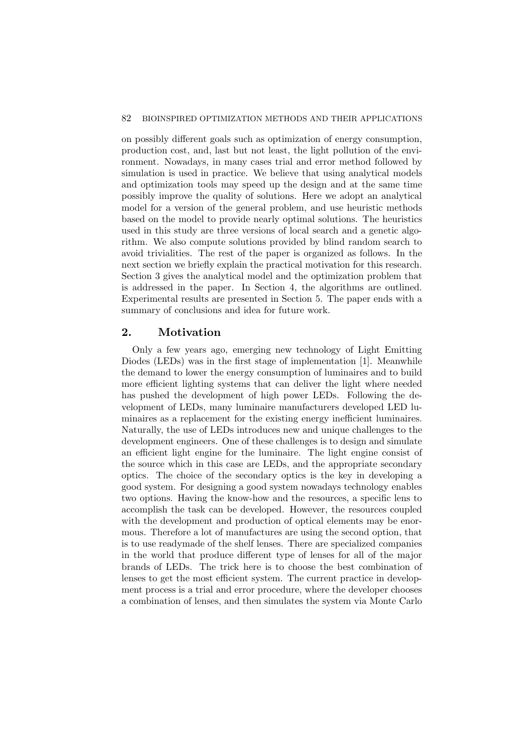on possibly different goals such as optimization of energy consumption, production cost, and, last but not least, the light pollution of the environment. Nowadays, in many cases trial and error method followed by simulation is used in practice. We believe that using analytical models and optimization tools may speed up the design and at the same time possibly improve the quality of solutions. Here we adopt an analytical model for a version of the general problem, and use heuristic methods based on the model to provide nearly optimal solutions. The heuristics used in this study are three versions of local search and a genetic algorithm. We also compute solutions provided by blind random search to avoid trivialities. The rest of the paper is organized as follows. In the next section we briefly explain the practical motivation for this research. Section 3 gives the analytical model and the optimization problem that is addressed in the paper. In Section 4, the algorithms are outlined. Experimental results are presented in Section 5. The paper ends with a summary of conclusions and idea for future work.

# 2. Motivation

Only a few years ago, emerging new technology of Light Emitting Diodes (LEDs) was in the first stage of implementation [1]. Meanwhile the demand to lower the energy consumption of luminaires and to build more efficient lighting systems that can deliver the light where needed has pushed the development of high power LEDs. Following the development of LEDs, many luminaire manufacturers developed LED luminaires as a replacement for the existing energy inefficient luminaires. Naturally, the use of LEDs introduces new and unique challenges to the development engineers. One of these challenges is to design and simulate an efficient light engine for the luminaire. The light engine consist of the source which in this case are LEDs, and the appropriate secondary optics. The choice of the secondary optics is the key in developing a good system. For designing a good system nowadays technology enables two options. Having the know-how and the resources, a specific lens to accomplish the task can be developed. However, the resources coupled with the development and production of optical elements may be enormous. Therefore a lot of manufactures are using the second option, that is to use readymade of the shelf lenses. There are specialized companies in the world that produce different type of lenses for all of the major brands of LEDs. The trick here is to choose the best combination of lenses to get the most efficient system. The current practice in development process is a trial and error procedure, where the developer chooses a combination of lenses, and then simulates the system via Monte Carlo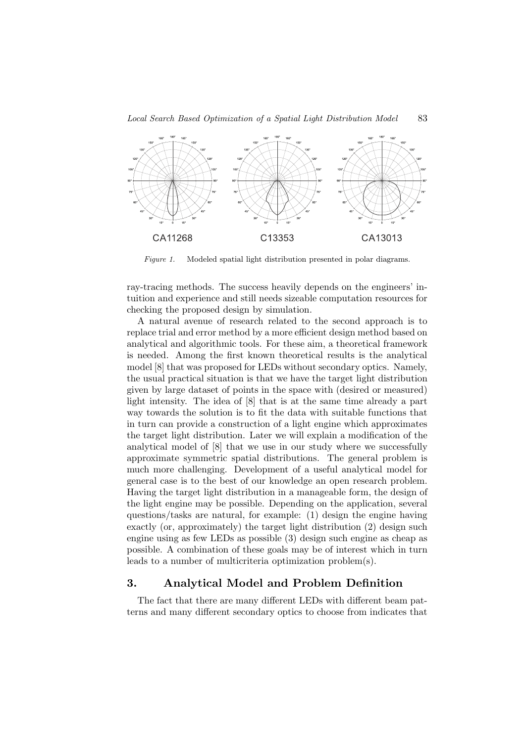

Figure 1. Modeled spatial light distribution presented in polar diagrams.

ray-tracing methods. The success heavily depends on the engineers' intuition and experience and still needs sizeable computation resources for checking the proposed design by simulation.

A natural avenue of research related to the second approach is to replace trial and error method by a more efficient design method based on analytical and algorithmic tools. For these aim, a theoretical framework is needed. Among the first known theoretical results is the analytical model [8] that was proposed for LEDs without secondary optics. Namely, the usual practical situation is that we have the target light distribution given by large dataset of points in the space with (desired or measured) light intensity. The idea of [8] that is at the same time already a part way towards the solution is to fit the data with suitable functions that in turn can provide a construction of a light engine which approximates the target light distribution. Later we will explain a modification of the analytical model of [8] that we use in our study where we successfully approximate symmetric spatial distributions. The general problem is much more challenging. Development of a useful analytical model for general case is to the best of our knowledge an open research problem. Having the target light distribution in a manageable form, the design of the light engine may be possible. Depending on the application, several questions/tasks are natural, for example: (1) design the engine having exactly (or, approximately) the target light distribution (2) design such engine using as few LEDs as possible (3) design such engine as cheap as possible. A combination of these goals may be of interest which in turn leads to a number of multicriteria optimization problem(s).

# 3. Analytical Model and Problem Definition

The fact that there are many different LEDs with different beam patterns and many different secondary optics to choose from indicates that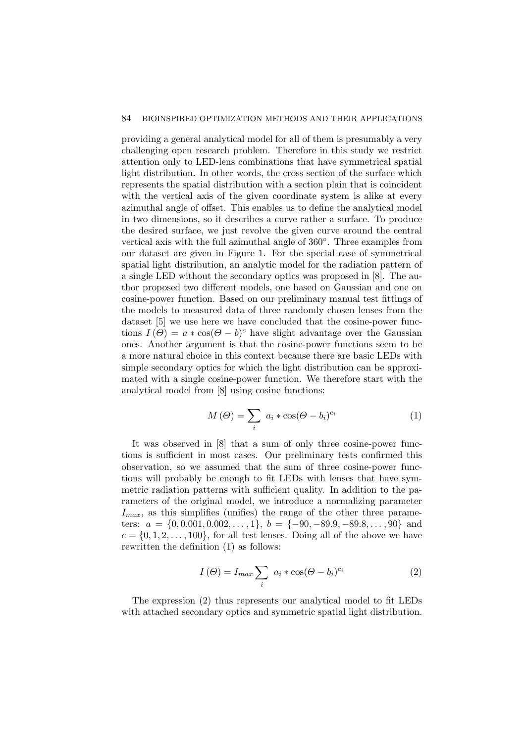#### 84 BIOINSPIRED OPTIMIZATION METHODS AND THEIR APPLICATIONS

providing a general analytical model for all of them is presumably a very challenging open research problem. Therefore in this study we restrict attention only to LED-lens combinations that have symmetrical spatial light distribution. In other words, the cross section of the surface which represents the spatial distribution with a section plain that is coincident with the vertical axis of the given coordinate system is alike at every azimuthal angle of offset. This enables us to define the analytical model in two dimensions, so it describes a curve rather a surface. To produce the desired surface, we just revolve the given curve around the central vertical axis with the full azimuthal angle of  $360^{\circ}$ . Three examples from our dataset are given in Figure 1. For the special case of symmetrical spatial light distribution, an analytic model for the radiation pattern of a single LED without the secondary optics was proposed in [8]. The author proposed two different models, one based on Gaussian and one on cosine-power function. Based on our preliminary manual test fittings of the models to measured data of three randomly chosen lenses from the dataset [5] we use here we have concluded that the cosine-power functions  $I(\Theta) = a * \cos(\Theta - b)^c$  have slight advantage over the Gaussian ones. Another argument is that the cosine-power functions seem to be a more natural choice in this context because there are basic LEDs with simple secondary optics for which the light distribution can be approximated with a single cosine-power function. We therefore start with the analytical model from [8] using cosine functions:

$$
M(\Theta) = \sum_{i} a_i * \cos(\Theta - b_i)^{c_i}
$$
 (1)

It was observed in [8] that a sum of only three cosine-power functions is sufficient in most cases. Our preliminary tests confirmed this observation, so we assumed that the sum of three cosine-power functions will probably be enough to fit LEDs with lenses that have symmetric radiation patterns with sufficient quality. In addition to the parameters of the original model, we introduce a normalizing parameter  $I_{max}$ , as this simplifies (unifies) the range of the other three parameters:  $a = \{0, 0.001, 0.002, \ldots, 1\}, b = \{-90, -89.9, -89.8, \ldots, 90\}$  and  $c = \{0, 1, 2, \ldots, 100\}$ , for all test lenses. Doing all of the above we have rewritten the definition (1) as follows:

$$
I(\Theta) = I_{max} \sum_{i} a_i * \cos(\Theta - b_i)^{c_i}
$$
 (2)

The expression (2) thus represents our analytical model to fit LEDs with attached secondary optics and symmetric spatial light distribution.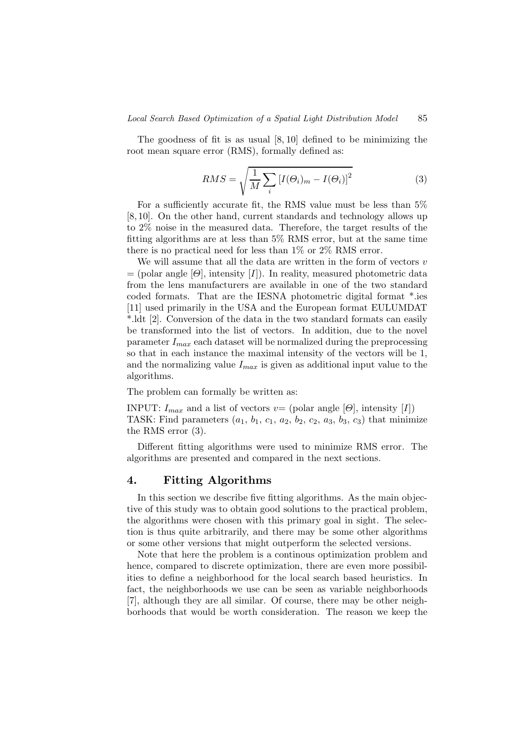The goodness of fit is as usual [8, 10] defined to be minimizing the root mean square error (RMS), formally defined as:

$$
RMS = \sqrt{\frac{1}{M} \sum_{i} \left[ I(\Theta_i)_m - I(\Theta_i) \right]^2}
$$
 (3)

For a sufficiently accurate fit, the RMS value must be less than 5% [8, 10]. On the other hand, current standards and technology allows up to 2% noise in the measured data. Therefore, the target results of the fitting algorithms are at less than 5% RMS error, but at the same time there is no practical need for less than 1% or 2% RMS error.

We will assume that all the data are written in the form of vectors  $v$  $=$  (polar angle [ $\Theta$ ], intensity [I]). In reality, measured photometric data from the lens manufacturers are available in one of the two standard coded formats. That are the IESNA photometric digital format \*.ies [11] used primarily in the USA and the European format EULUMDAT \*.ldt [2]. Conversion of the data in the two standard formats can easily be transformed into the list of vectors. In addition, due to the novel parameter  $I_{max}$  each dataset will be normalized during the preprocessing so that in each instance the maximal intensity of the vectors will be 1, and the normalizing value  $I_{max}$  is given as additional input value to the algorithms.

The problem can formally be written as:

INPUT:  $I_{max}$  and a list of vectors  $v=$  (polar angle [ $\Theta$ ], intensity [I]) TASK: Find parameters  $(a_1, b_1, c_1, a_2, b_2, c_2, a_3, b_3, c_3)$  that minimize the RMS error (3).

Different fitting algorithms were used to minimize RMS error. The algorithms are presented and compared in the next sections.

# 4. Fitting Algorithms

In this section we describe five fitting algorithms. As the main objective of this study was to obtain good solutions to the practical problem, the algorithms were chosen with this primary goal in sight. The selection is thus quite arbitrarily, and there may be some other algorithms or some other versions that might outperform the selected versions.

Note that here the problem is a continous optimization problem and hence, compared to discrete optimization, there are even more possibilities to define a neighborhood for the local search based heuristics. In fact, the neighborhoods we use can be seen as variable neighborhoods [7], although they are all similar. Of course, there may be other neighborhoods that would be worth consideration. The reason we keep the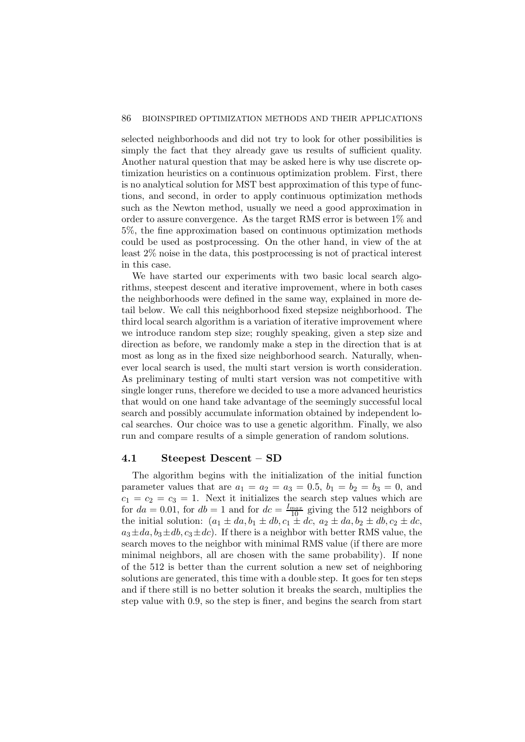#### 86 BIOINSPIRED OPTIMIZATION METHODS AND THEIR APPLICATIONS

selected neighborhoods and did not try to look for other possibilities is simply the fact that they already gave us results of sufficient quality. Another natural question that may be asked here is why use discrete optimization heuristics on a continuous optimization problem. First, there is no analytical solution for MST best approximation of this type of functions, and second, in order to apply continuous optimization methods such as the Newton method, usually we need a good approximation in order to assure convergence. As the target RMS error is between 1% and 5%, the fine approximation based on continuous optimization methods could be used as postprocessing. On the other hand, in view of the at least 2% noise in the data, this postprocessing is not of practical interest in this case.

We have started our experiments with two basic local search algorithms, steepest descent and iterative improvement, where in both cases the neighborhoods were defined in the same way, explained in more detail below. We call this neighborhood fixed stepsize neighborhood. The third local search algorithm is a variation of iterative improvement where we introduce random step size; roughly speaking, given a step size and direction as before, we randomly make a step in the direction that is at most as long as in the fixed size neighborhood search. Naturally, whenever local search is used, the multi start version is worth consideration. As preliminary testing of multi start version was not competitive with single longer runs, therefore we decided to use a more advanced heuristics that would on one hand take advantage of the seemingly successful local search and possibly accumulate information obtained by independent local searches. Our choice was to use a genetic algorithm. Finally, we also run and compare results of a simple generation of random solutions.

# 4.1 Steepest Descent – SD

The algorithm begins with the initialization of the initial function parameter values that are  $a_1 = a_2 = a_3 = 0.5$ ,  $b_1 = b_2 = b_3 = 0$ , and  $c_1 = c_2 = c_3 = 1$ . Next it initializes the search step values which are for  $da = 0.01$ , for  $db = 1$  and for  $dc = \frac{I_{max}}{10}$  giving the 512 neighbors of the initial solution:  $(a_1 \pm da, b_1 \pm db, c_1 \pm dc, a_2 \pm da, b_2 \pm db, c_2 \pm dc,$  $a_3 \pm da$ ,  $b_3 \pm db$ ,  $c_3 \pm dc$ ). If there is a neighbor with better RMS value, the search moves to the neighbor with minimal RMS value (if there are more minimal neighbors, all are chosen with the same probability). If none of the 512 is better than the current solution a new set of neighboring solutions are generated, this time with a double step. It goes for ten steps and if there still is no better solution it breaks the search, multiplies the step value with 0.9, so the step is finer, and begins the search from start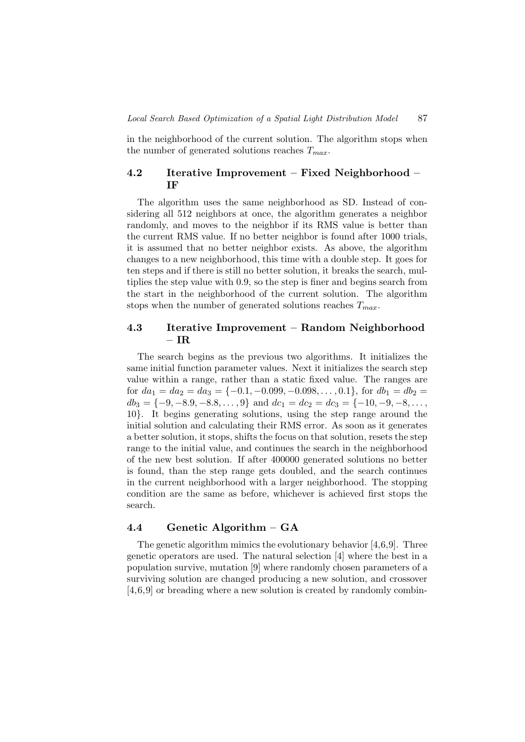in the neighborhood of the current solution. The algorithm stops when the number of generated solutions reaches  $T_{max}$ .

# 4.2 Iterative Improvement – Fixed Neighborhood – IF

The algorithm uses the same neighborhood as SD. Instead of considering all 512 neighbors at once, the algorithm generates a neighbor randomly, and moves to the neighbor if its RMS value is better than the current RMS value. If no better neighbor is found after 1000 trials, it is assumed that no better neighbor exists. As above, the algorithm changes to a new neighborhood, this time with a double step. It goes for ten steps and if there is still no better solution, it breaks the search, multiplies the step value with 0.9, so the step is finer and begins search from the start in the neighborhood of the current solution. The algorithm stops when the number of generated solutions reaches  $T_{max}$ .

# 4.3 Iterative Improvement – Random Neighborhood – I ${\bf R}$

The search begins as the previous two algorithms. It initializes the same initial function parameter values. Next it initializes the search step value within a range, rather than a static fixed value. The ranges are for  $da_1 = da_2 = da_3 = \{-0.1, -0.099, -0.098, \dots, 0.1\}$ , for  $db_1 = db_2 =$  $db_3 = \{-9, -8.9, -8.8, \ldots, 9\}$  and  $dc_1 = dc_2 = dc_3 = \{-10, -9, -8, \ldots,$ 10}. It begins generating solutions, using the step range around the initial solution and calculating their RMS error. As soon as it generates a better solution, it stops, shifts the focus on that solution, resets the step range to the initial value, and continues the search in the neighborhood of the new best solution. If after 400000 generated solutions no better is found, than the step range gets doubled, and the search continues in the current neighborhood with a larger neighborhood. The stopping condition are the same as before, whichever is achieved first stops the search.

### 4.4 Genetic Algorithm – GA

The genetic algorithm mimics the evolutionary behavior [4,6,9]. Three genetic operators are used. The natural selection [4] where the best in a population survive, mutation [9] where randomly chosen parameters of a surviving solution are changed producing a new solution, and crossover [4,6,9] or breading where a new solution is created by randomly combin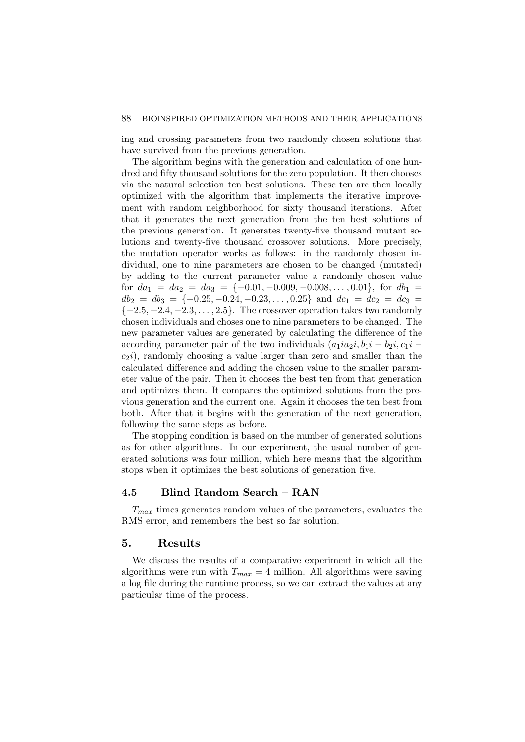ing and crossing parameters from two randomly chosen solutions that have survived from the previous generation.

The algorithm begins with the generation and calculation of one hundred and fifty thousand solutions for the zero population. It then chooses via the natural selection ten best solutions. These ten are then locally optimized with the algorithm that implements the iterative improvement with random neighborhood for sixty thousand iterations. After that it generates the next generation from the ten best solutions of the previous generation. It generates twenty-five thousand mutant solutions and twenty-five thousand crossover solutions. More precisely, the mutation operator works as follows: in the randomly chosen individual, one to nine parameters are chosen to be changed (mutated) by adding to the current parameter value a randomly chosen value for  $da_1 = da_2 = da_3 = \{-0.01, -0.009, -0.008, \dots, 0.01\}$ , for  $db_1 =$  $db_2 = db_3 = \{-0.25, -0.24, -0.23, \dots, 0.25\}$  and  $dc_1 = dc_2 = dc_3$  $\{-2.5, -2.4, -2.3, \ldots, 2.5\}$ . The crossover operation takes two randomly chosen individuals and choses one to nine parameters to be changed. The new parameter values are generated by calculating the difference of the according parameter pair of the two individuals  $(a_1ia_2i, b_1i - b_2i, c_1i$  $c_2i$ , randomly choosing a value larger than zero and smaller than the calculated difference and adding the chosen value to the smaller parameter value of the pair. Then it chooses the best ten from that generation and optimizes them. It compares the optimized solutions from the previous generation and the current one. Again it chooses the ten best from both. After that it begins with the generation of the next generation, following the same steps as before.

The stopping condition is based on the number of generated solutions as for other algorithms. In our experiment, the usual number of generated solutions was four million, which here means that the algorithm stops when it optimizes the best solutions of generation five.

### 4.5 Blind Random Search – RAN

 $T_{max}$  times generates random values of the parameters, evaluates the RMS error, and remembers the best so far solution.

## 5. Results

We discuss the results of a comparative experiment in which all the algorithms were run with  $T_{max} = 4$  million. All algorithms were saving a log file during the runtime process, so we can extract the values at any particular time of the process.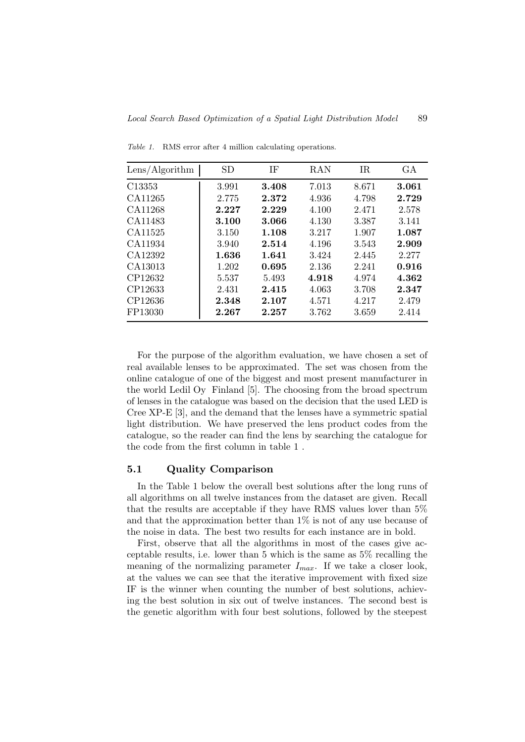| Lens/Algorithm     | SD          | ΙF    | RAN   | IR    | GА    |
|--------------------|-------------|-------|-------|-------|-------|
| C <sub>13353</sub> | 3.991       | 3.408 | 7.013 | 8.671 | 3.061 |
| CA11265            | 2.775       | 2.372 | 4.936 | 4.798 | 2.729 |
| CA11268            | 2.227       | 2.229 | 4.100 | 2.471 | 2.578 |
| CA11483            | 3.100       | 3.066 | 4.130 | 3.387 | 3.141 |
| CA11525            | 3.150       | 1.108 | 3.217 | 1.907 | 1.087 |
| CA11934            | 3.940       | 2.514 | 4.196 | 3.543 | 2.909 |
| CA12392            | 1.636       | 1.641 | 3.424 | 2.445 | 2.277 |
| CA13013            | 1.202       | 0.695 | 2.136 | 2.241 | 0.916 |
| CP12632            | 5.537       | 5.493 | 4.918 | 4.974 | 4.362 |
| CP12633            | 2.431       | 2.415 | 4.063 | 3.708 | 2.347 |
| CP12636            | 2.348       | 2.107 | 4.571 | 4.217 | 2.479 |
| FP13030            | $\bf 2.267$ | 2.257 | 3.762 | 3.659 | 2.414 |

Table 1. RMS error after 4 million calculating operations.

For the purpose of the algorithm evaluation, we have chosen a set of real available lenses to be approximated. The set was chosen from the online catalogue of one of the biggest and most present manufacturer in the world Ledil Oy Finland [5]. The choosing from the broad spectrum of lenses in the catalogue was based on the decision that the used LED is Cree XP-E [3], and the demand that the lenses have a symmetric spatial light distribution. We have preserved the lens product codes from the catalogue, so the reader can find the lens by searching the catalogue for the code from the first column in table 1 .

### 5.1 Quality Comparison

In the Table 1 below the overall best solutions after the long runs of all algorithms on all twelve instances from the dataset are given. Recall that the results are acceptable if they have RMS values lover than 5% and that the approximation better than  $1\%$  is not of any use because of the noise in data. The best two results for each instance are in bold.

First, observe that all the algorithms in most of the cases give acceptable results, i.e. lower than 5 which is the same as 5% recalling the meaning of the normalizing parameter  $I_{max}$ . If we take a closer look, at the values we can see that the iterative improvement with fixed size IF is the winner when counting the number of best solutions, achieving the best solution in six out of twelve instances. The second best is the genetic algorithm with four best solutions, followed by the steepest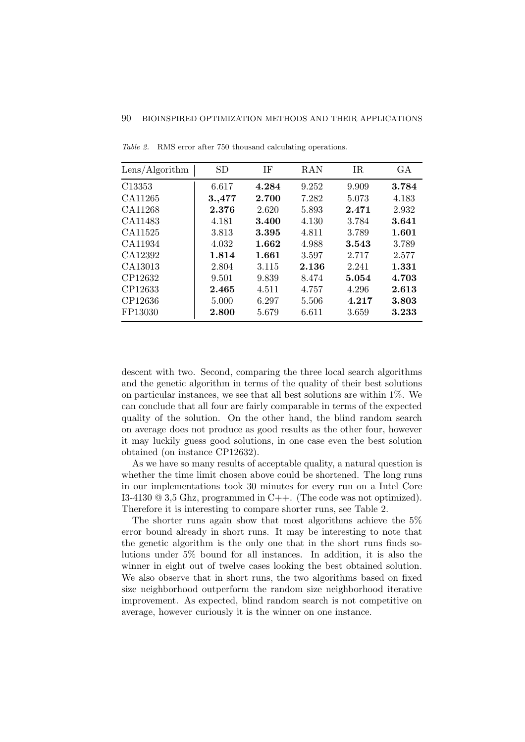| Lens/Algorithm | <b>SD</b> | ΙF    | <b>RAN</b> | IR    | GA    |
|----------------|-----------|-------|------------|-------|-------|
| C13353         | 6.617     | 4.284 | 9.252      | 9.909 | 3.784 |
| CA11265        | 3.,477    | 2.700 | 7.282      | 5.073 | 4.183 |
| CA11268        | 2.376     | 2.620 | 5.893      | 2.471 | 2.932 |
| CA11483        | 4.181     | 3.400 | 4.130      | 3.784 | 3.641 |
| CA11525        | 3.813     | 3.395 | 4.811      | 3.789 | 1.601 |
| CA11934        | 4.032     | 1.662 | 4.988      | 3.543 | 3.789 |
| CA12392        | 1.814     | 1.661 | 3.597      | 2.717 | 2.577 |
| CA13013        | 2.804     | 3.115 | 2.136      | 2.241 | 1.331 |
| CP12632        | 9.501     | 9.839 | 8.474      | 5.054 | 4.703 |
| CP12633        | 2.465     | 4.511 | 4.757      | 4.296 | 2.613 |
| CP12636        | 5.000     | 6.297 | 5.506      | 4.217 | 3.803 |
| FP13030        | 2.800     | 5.679 | 6.611      | 3.659 | 3.233 |

Table 2. RMS error after 750 thousand calculating operations.

descent with two. Second, comparing the three local search algorithms and the genetic algorithm in terms of the quality of their best solutions on particular instances, we see that all best solutions are within  $1\%$ . We can conclude that all four are fairly comparable in terms of the expected quality of the solution. On the other hand, the blind random search on average does not produce as good results as the other four, however it may luckily guess good solutions, in one case even the best solution obtained (on instance CP12632).

As we have so many results of acceptable quality, a natural question is whether the time limit chosen above could be shortened. The long runs in our implementations took 30 minutes for every run on a Intel Core I3-4130 @ 3,5 Ghz, programmed in C++. (The code was not optimized). Therefore it is interesting to compare shorter runs, see Table 2.

The shorter runs again show that most algorithms achieve the 5% error bound already in short runs. It may be interesting to note that the genetic algorithm is the only one that in the short runs finds solutions under 5% bound for all instances. In addition, it is also the winner in eight out of twelve cases looking the best obtained solution. We also observe that in short runs, the two algorithms based on fixed size neighborhood outperform the random size neighborhood iterative improvement. As expected, blind random search is not competitive on average, however curiously it is the winner on one instance.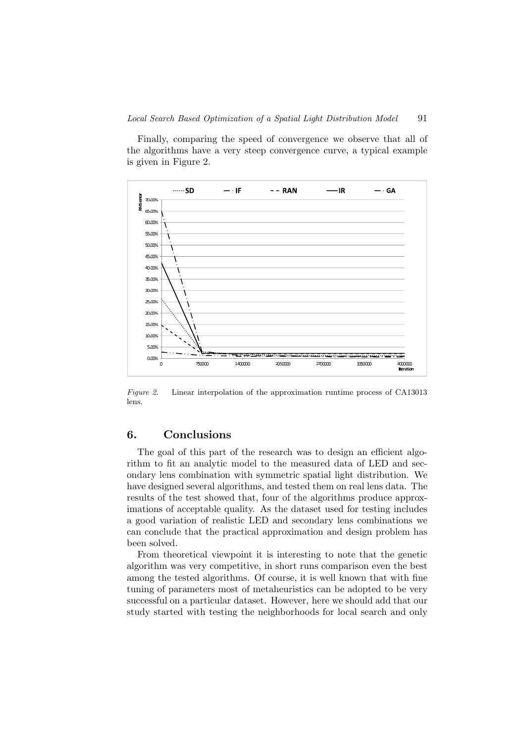Finally, comparing the speed of convergence we observe that all of the algorithms have a very steep convergence curve, a typical example is given in Figure 2.



Figure 2. Linear interpolation of the approximation runtime process of CA13013 lens.

# 6. Conclusions

The goal of this part of the research was to design an efficient algorithm to fit an analytic model to the measured data of LED and secondary lens combination with symmetric spatial light distribution. We have designed several algorithms, and tested them on real lens data. The results of the test showed that, four of the algorithms produce approximations of acceptable quality. As the dataset used for testing includes a good variation of realistic LED and secondary lens combinations we can conclude that the practical approximation and design problem has been solved.

From theoretical viewpoint it is interesting to note that the genetic algorithm was very competitive, in short runs comparison even the best among the tested algorithms. Of course, it is well known that with fine tuning of parameters most of metaheuristics can be adopted to be very successful on a particular dataset. However, here we should add that our study started with testing the neighborhoods for local search and only